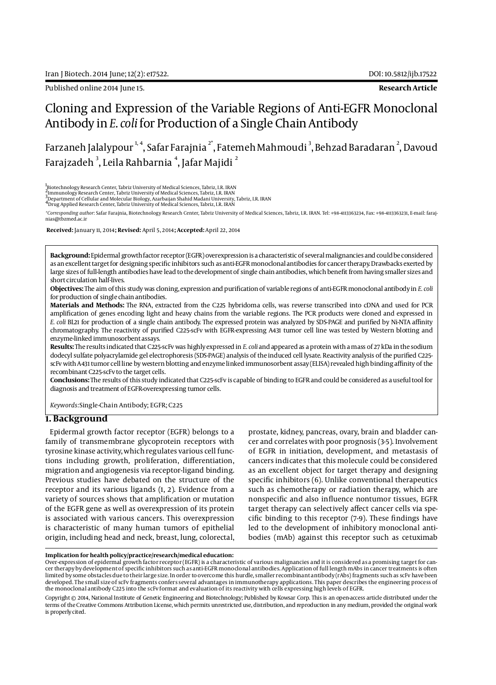Published online 2014 June 15. **Research Article**

# Cloning and Expression of the Variable Regions of Anti-EGFR Monoclonal Antibody in *E. coli* for Production of a Single Chain Antibody

Farzaneh Jalalypour  $^{\!\!1,4}$ , Safar Farajnia  $^{\!\!2^*}$ , Fatemeh Mahmoudi  $^3$ , Behzad Baradaran  $^2$ , Davoud Farajzadeh  $^{\rm 3}$ , Leila Rahbarnia  $^{\rm 4}$ , Jafar Majidi  $^{\rm 2}$ 

1<br><sub>-</sub>Biotechnology Research Center, Tabriz University of Medical Sciences, Tabriz, I.R. IRAN

2<br>"Immunology Research Center, Tabriz University of Medical Sciences, Tabriz, I.R. IRAN<br><sup>3</sup>Department of Cellular and Molecular Biology, Azarbaijan Shahid Madani University, Tabriz, I.R. IRAN<br><sup>4</sup>Drug Applied Research Cente

*\*Corresponding author*: Safar Farajnia, Biotechnology Research Center, Tabriz University of Medical Sciences, Tabriz, I.R. IRAN. Tel: +98-4113363234, Fax: +98-4113363231, E-mail: farajnias@tbzmed.ac.ir

 **Received:** January 11, 2014**; Revised:** April 5, 2014**; Accepted:** April 22, 2014

**Background:** Epidermal growth factor receptor (EGFR) overexpression is a characteristic of several malignancies and could be considered as an excellent target for designing specific inhibitors such as anti-EGFR monoclonal antibodies for cancer therapy. Drawbacks exerted by large sizes of full-length antibodies have lead to the development of single chain antibodies, which benefit from having smaller sizes and short circulation half-lives.

**Objectives:** The aim of this study was cloning, expression and purification of variable regions of anti-EGFR monoclonal antibody in *E. coli* for production of single chain antibodies.

**Materials and Methods:** The RNA, extracted from the C225 hybridoma cells, was reverse transcribed into cDNA and used for PCR amplification of genes encoding light and heavy chains from the variable regions. The PCR products were cloned and expressed in *E. coli* BL21 for production of a single chain antibody. The expressed protein was analyzed by SDS-PAGE and purified by Ni-NTA affinity chromatography. The reactivity of purified C225-scFv with EGFR-expressing A431 tumor cell line was tested by Western blotting and enzyme-linked immunosorbent assays.

**Results:** The results indicated that C225-scFv was highly expressed in *E. coli* and appeared as a protein with a mass of 27 kDa in the sodium dodecyl sulfate polyacrylamide gel electrophoresis (SDS-PAGE) analysis of the induced cell lysate. Reactivity analysis of the purified C225 scFv with A431 tumor cell line by western blotting and enzyme linked immunosorbent assay (ELISA) revealed high binding affinity of the recombinant C225-scFv to the target cells.

**Conclusions:** The results of this study indicated that C225-scFv is capable of binding to EGFR and could be considered as a useful tool for diagnosis and treatment of EGFR-overexpressing tumor cells.

*Keywords:*Single-Chain Antibody; EGFR; C225

## **1. Background**

Epidermal growth factor receptor (EGFR) belongs to a family of transmembrane glycoprotein receptors with tyrosine kinase activity, which regulates various cell functions including growth, proliferation, differentiation, migration and angiogenesis via receptor-ligand binding. Previous studies have debated on the structure of the receptor and its various ligands (1, 2). Evidence from a variety of sources shows that amplification or mutation of the EGFR gene as well as overexpression of its protein is associated with various cancers. This overexpression is characteristic of many human tumors of epithelial origin, including head and neck, breast, lung, colorectal, prostate, kidney, pancreas, ovary, brain and bladder cancer and correlates with poor prognosis (3-5). Involvement of EGFR in initiation, development, and metastasis of cancers indicates that this molecule could be considered as an excellent object for target therapy and designing specific inhibitors (6). Unlike conventional therapeutics such as chemotherapy or radiation therapy, which are nonspecific and also influence nontumor tissues, EGFR target therapy can selectively affect cancer cells via specific binding to this receptor (7-9). These findings have led to the development of inhibitory monoclonal antibodies (mAb) against this receptor such as cetuximab

#### **Implication for health policy/practice/research/medical education:**

Over-expression of epidermal growth factor receptor (EGFR) is a characteristic of various malignancies and it is considered as a promising target for cancer therapy by development of specific inhibitors such as anti-EGFR monoclonal antibodies. Application of full length mAbs in cancer treatments is often limited by some obstacles due to their large size. In order to overcome this hurdle, smaller recombinant antibody (rAbs) fragments such as scFv have been developed. The small size of scFv fragments confers several advantages in immunotherapy applications. This paper describes the engineering process of the monoclonal antibody C225 into the scFv format and evaluation of its reactivity with cells expressing high levels of EGFR.

Copyright © 2014, National Institute of Genetic Engineering and Biotechnology; Published by Kowsar Corp. This is an open-access article distributed under the terms of the Creative Commons Attribution License, which permits unrestricted use, distribution, and reproduction in any medium, provided the original work is properly cited.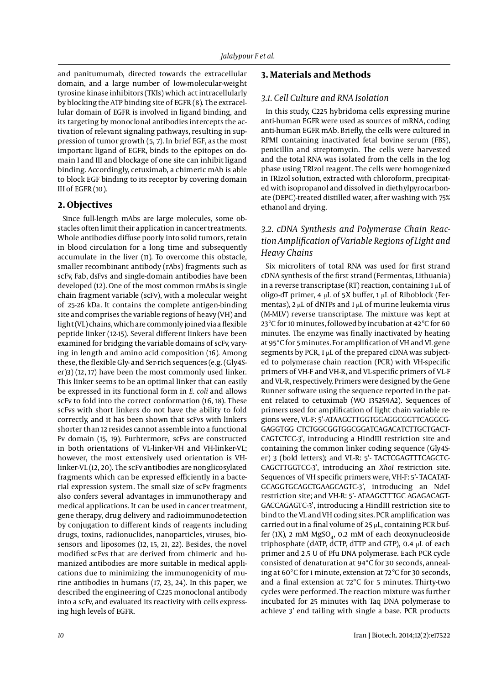and panitumumab, directed towards the extracellular domain, and a large number of low-molecular-weight tyrosine kinase inhibitors (TKIs) which act intracellularly by blocking the ATP binding site of EGFR (8). The extracellular domain of EGFR is involved in ligand binding, and its targeting by monoclonal antibodies intercepts the activation of relevant signaling pathways, resulting in suppression of tumor growth (5, 7). In brief EGF, as the most important ligand of EGFR, binds to the epitopes on domain I and III and blockage of one site can inhibit ligand binding. Accordingly, cetuximab, a chimeric mAb is able to block EGF binding to its receptor by covering domain III of EGFR (10).

## **2. Objectives**

Since full-length mAbs are large molecules, some obstacles often limit their application in cancer treatments. Whole antibodies diffuse poorly into solid tumors, retain in blood circulation for a long time and subsequently accumulate in the liver (11). To overcome this obstacle, smaller recombinant antibody (rAbs) fragments such as scFv, Fab, dsFvs and single-domain antibodies have been developed (12). One of the most common rmAbs is single chain fragment variable (scFv), with a molecular weight of 25-26 kDa. It contains the complete antigen-binding site and comprises the variable regions of heavy (VH) and light (VL) chains, which are commonly joined via a flexible peptide linker (12-15). Several different linkers have been examined for bridging the variable domains of scFv, varying in length and amino acid composition (16). Among these, the flexible Gly- and Ser-rich sequences (e.g. (Gly4Ser)3) (12, 17) have been the most commonly used linker. This linker seems to be an optimal linker that can easily be expressed in its functional form in *E. coli* and allows scFv to fold into the correct conformation (16, 18). These scFvs with short linkers do not have the ability to fold correctly, and it has been shown that scFvs with linkers shorter than 12 resides cannot assemble into a functional Fv domain (15, 19). Furhtermore, scFvs are constructed in both orientations of VL-linker-VH and VH-linker-VL; however, the most extensively used orientation is VHlinker-VL (12, 20). The scFv antibodies are nonglicosylated fragments which can be expressed efficiently in a bacterial expression system. The small size of scFv fragments also confers several advantages in immunotherapy and medical applications. It can be used in cancer treatment, gene therapy, drug delivery and radioimmunodetection by conjugation to different kinds of reagents including drugs, toxins, radionuclides, nanoparticles, viruses, biosensors and liposomes (12, 15, 21, 22). Besides, the novel modified scFvs that are derived from chimeric and humanized antibodies are more suitable in medical applications due to minimizing the immunogenicity of murine antibodies in humans (17, 23, 24). In this paper, we described the engineering of C225 monoclonal antibody into a scFv, and evaluated its reactivity with cells expressing high levels of EGFR.

## **3. Materials and Methods**

## *3.1. Cell Culture and RNA Isolation*

In this study, C225 hybridoma cells expressing murine anti-human EGFR were used as sources of mRNA, coding anti-human EGFR mAb. Briefly, the cells were cultured in RPMI containing inactivated fetal bovine serum (FBS), penicillin and streptomycin. The cells were harvested and the total RNA was isolated from the cells in the log phase using TRIzol reagent. The cells were homogenized in TRIzol solution, extracted with chloroform, precipitated with isopropanol and dissolved in diethylpyrocarbonate (DEPC)-treated distilled water, after washing with 75% ethanol and drying.

## *3.2. cDNA Synthesis and Polymerase Chain Reaction Amplification of Variable Regions of Light and Heavy Chains*

Six microliters of total RNA was used for first strand cDNA synthesis of the first strand (Fermentas, Lithuania) in a reverse transcriptase (RT) reaction, containing 1 μL of oligo-dT primer, 4 μL of 5X buffer, 1 μL of Riboblock (Fermentas), 2 μL of dNTPs and 1 μL of murine leukemia virus (M-MLV) reverse transcriptase. The mixture was kept at 23°C for 10 minutes, followed by incubation at 42°C for 60 minutes. The enzyme was finally inactivated by heating at 95°C for 5 minutes. For amplification of VH and VL gene segments by PCR, 1 μL of the prepared cDNA was subjected to polymerase chain reaction (PCR) with VH-specific primers of VH-F and VH-R, and VL-specific primers of VL-F and VL-R, respectively. Primers were designed by the Gene Runner software using the sequence reported in the patent related to cetuximab (WO 135259A2). Sequences of primers used for amplification of light chain variable regions were, VL-F: 5'-ATAAGCTTGGTGGAGGCGGTTCAGGCG-GAGGTGG CTCTGGCGGTGGCGGATCAGACATCTTGCTGACT-CAGTCTCC-3', introducing a HindIII restriction site and containing the common linker coding sequence (Gly4Ser) 3 (bold letters); and VL-R: 5'- TACTCGAGTTTCAGCTC-CAGCTTGGTCC-3', introducing an *XhoI* restriction site. Sequences of VH specific primers were, VH-F: 5'- TACATAT-GCAGGTGCAGCTGAAGCAGTC-3', introducing an NdeI restriction site; and VH-R: 5'- ATAAGCTTTGC AGAGACAGT-GACCAGAGTC-3', introducing a HindIII restriction site to bind to the VL and VH coding sites. PCR amplification was carried out in a final volume of 25 μL, containing PCR buffer (1X), 2 mM  $MgSO<sub>A</sub>$ , 0.2 mM of each deoxynucleoside triphosphate (dATP, dCTP, dTTP and GTP), 0.4 μL of each primer and 2.5 U of Pfu DNA polymerase. Each PCR cycle consisted of denaturation at 94°C for 30 seconds, annealing at 60°C for 1 minute, extension at 72°C for 30 seconds, and a final extension at 72°C for 5 minutes. Thirty-two cycles were performed. The reaction mixture was further incubated for 25 minutes with Taq DNA polymerase to achieve 3' end tailing with single a base. PCR products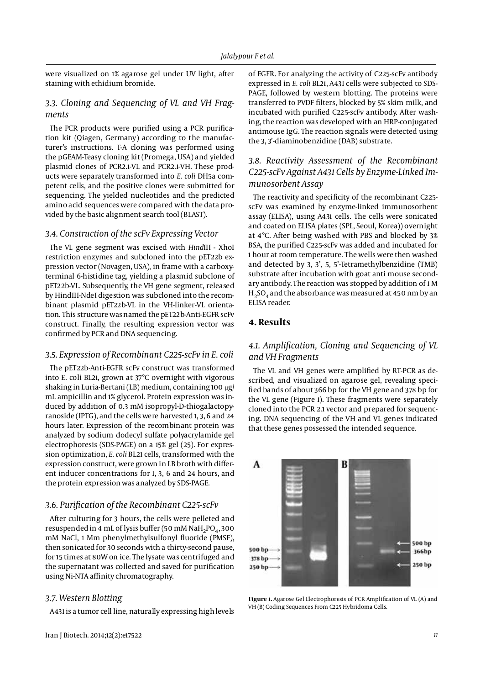were visualized on 1% agarose gel under UV light, after staining with ethidium bromide.

## *3.3. Cloning and Sequencing of VL and VH Fragments*

The PCR products were purified using a PCR purification kit (Qiagen, Germany) according to the manufacturer's instructions. T-A cloning was performed using the pGEAM-Teasy cloning kit (Promega, USA) and yielded plasmid clones of PCR2.1-VL and PCR2.1-VH. These products were separately transformed into *E. coli* DH5a competent cells, and the positive clones were submitted for sequencing. The yielded nucleotides and the predicted amino acid sequences were compared with the data provided by the basic alignment search tool (BLAST).

### *3.4. Construction of the scFv Expressing Vector*

The VL gene segment was excised with *Hind*III - XhoI restriction enzymes and subcloned into the pET22b expression vector (Novagen, USA), in frame with a carboxyterminal 6-histidine tag, yielding a plasmid subclone of pET22b-VL. Subsequently, the VH gene segment, released by HindIII-NdeI digestion was subcloned into the recombinant plasmid pET22b-VL in the VH-linker-VL orientation. This structure was named the pET22b-Anti-EGFR scFv construct. Finally, the resulting expression vector was confirmed by PCR and DNA sequencing.

## *3.5. Expression of Recombinant C225-scFv in E. coli*

The pET22b-Anti-EGFR scFv construct was transformed into E. coli BL21, grown at 37°C overnight with vigorous shaking in Luria-Bertani (LB) medium, containing 100 μg/ mL ampicillin and 1% glycerol. Protein expression was induced by addition of 0.3 mM isopropyl-D-thiogalactopyranoside (IPTG), and the cells were harvested 1, 3, 6 and 24 hours later. Expression of the recombinant protein was analyzed by sodium dodecyl sulfate polyacrylamide gel electrophoresis (SDS-PAGE) on a 15% gel (25). For expression optimization, *E. coli* BL21 cells, transformed with the expression construct, were grown in LB broth with different inducer concentrations for 1, 3, 6 and 24 hours, and the protein expression was analyzed by SDS-PAGE.

#### *3.6. Purification of the Recombinant C225-scFv*

After culturing for 3 hours, the cells were pelleted and resuspended in 4 mL of lysis buffer (50 mM NaH<sub>2</sub>PO<sub>4</sub>, 300 mM NaCl, 1 Mm phenylmethylsulfonyl fluoride (PMSF), then sonicated for 30 seconds with a thirty-second pause, for 15 times at 80W on ice. The lysate was centrifuged and the supernatant was collected and saved for purification using Ni-NTA affinity chromatography.

#### *3.7. Western Blotting*

A431 is a tumor cell line, naturally expressing high levels

of EGFR. For analyzing the activity of C225-scFv antibody expressed in *E. coli* BL21, A431 cells were subjected to SDS-PAGE, followed by western blotting. The proteins were transferred to PVDF filters, blocked by 5% skim milk, and incubated with purified C225-scFv antibody. After washing, the reaction was developed with an HRP-conjugated antimouse IgG. The reaction signals were detected using the 3, 3'-diaminobenzidine (DAB) substrate.

## *3.8. Reactivity Assessment of the Recombinant C225-scFv Against A431 Cells by Enzyme-Linked Immunosorbent Assay*

The reactivity and specificity of the recombinant C225 scFv was examined by enzyme-linked immunosorbent assay (ELISA), using A431 cells. The cells were sonicated and coated on ELISA plates (SPL, Seoul, Korea)) overnight at 4°C. After being washed with PBS and blocked by 3% BSA, the purified C225-scFv was added and incubated for 1 hour at room temperature. The wells were then washed and detected by 3, 3', 5, 5'-Tetramethylbenzidine (TMB) substrate after incubation with goat anti mouse secondary antibody. The reaction was stopped by addition of 1 M  $H<sub>2</sub>SO<sub>4</sub>$  and the absorbance was measured at 450 nm by an ELISA reader.

## **4. Results**

## *4.1. Amplification, Cloning and Sequencing of VL and VH Fragments*

The VL and VH genes were amplified by RT-PCR as described, and visualized on agarose gel, revealing specified bands of about 366 bp for the VH gene and 378 bp for the VL gene (Figure 1). These fragments were separately cloned into the PCR 2.1 vector and prepared for sequencing. DNA sequencing of the VH and VL genes indicated that these genes possessed the intended sequence.



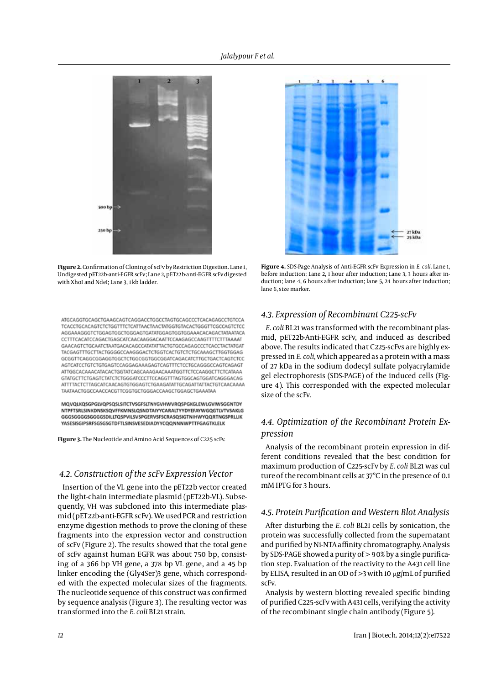

**Figure 2.** Confirmation of Cloning of scFv by Restriction Digestion. Lane 1, Undigested pET22b-anti-EGFR scFv; Lane 2, pET22b-anti-EGFR scFv digested with XhoI and NdeI; Lane 3, 1 kb ladder.

ATGCAGGTGCAGCTGAAGCAGTCAGGACCTGGCCTAGTGCAGCCCTCACAGAGCCTGTCCA TCACCTGCACAGTCTCTGGTTTCTCATTAACTAACTATGGTGTACACTGGGTTCGCCAGTCTCC AGGAAAGGGTCTGGAGTGGCTGGGAGTGATATGGAGTGGTGGAAACACAGACTATAATACA CCTTTCACATCCAGACTGAGCATCAACAAGGACAATTCCAAGAGCCAAGTTTTCTTTAAAAT GAACAGTCTGCAATCTAATGACACAGCCATATATTACTGTGCCAGAGCCCTCACCTACTATGAT TACGAGTTTGCTTACTGGGGCCAAGGGACTCTGGTCACTGTCTCTGCAAAGCTTGGTGGAG GCGGTTCAGGCGGAGGTGGCTCTGGCGGTGGCGGATCAGACATCTTGCTGACTCAGTCTCC AGTCATCCTGTCTGTGAGTCCAGGAGAAAGAGTCAGTTTCTCCTGCAGGGCCAGTCAGAGT ATTGGCACAAACATACACTGGTATCAGCAAAGAACAAATGGTTCTCCAAGGCTTCTCATAAA GTATGCTTCTGAGTCTATCTCTGGGATCCCTTCCAGGTTTAGTGGCAGTGGATCAGGGACAG ATTTTACTCTTAGCATCAACAGTGTGGAGTCTGAAGATATTGCAGATTATTACTGTCAACAAAA TAATAACTGGCCAACCACGTTCGGTGCTGGGACCAAGCTGGAGCTGAAATAA

MQVQLKQSGPGLVQPSQSLSITCTVSGFSLTNYGVHWVRQSPGKGLEWLGVIWSGGNTDY NTPFTSRLSINKDNSKSQVFFKMNSLQSNDTAIYYCARALTYYDYEFAYWGQGTLVTVSAKLG GGGSGGGGSGGGGSDILLTOSPVILSVSPGERVSFSCRASOSIGTNIHWYOORTNGSPRLLIK YASESISGIPSRFSGSGSGTDFTLSINSVESEDIADYYCQQNNNWPTTFGAGTKLELK

**Figure 3.** The Nucleotide and Amino Acid Sequences of C225 scFv.

#### *4.2. Construction of the scFv Expression Vector*

Insertion of the VL gene into the pET22b vector created the light-chain intermediate plasmid (pET22b-VL). Subsequently, VH was subcloned into this intermediate plasmid (pET22b-anti-EGFR scFv). We used PCR and restriction enzyme digestion methods to prove the cloning of these fragments into the expression vector and construction of scFv (Figure 2). The results showed that the total gene of scFv against human EGFR was about 750 bp, consisting of a 366 bp VH gene, a 378 bp VL gene, and a 45 bp linker encoding the (Gly4Ser)3 gene, which corresponded with the expected molecular sizes of the fragments. The nucleotide sequence of this construct was confirmed by sequence analysis (Figure 3). The resulting vector was transformed into the *E. coli* BL21 strain.



**Figure 4.** SDS-Page Analysis of Anti-EGFR scFv Expression in *E. coli.* Lane 1, before induction; Lane 2, 1 hour after induction; Lane 3, 3 hours after induction; lane 4, 6 hours after induction; lane 5, 24 hours after induction; lane 6, size marker.

#### *4.3. Expression of Recombinant C225-scFv*

*E. coli* BL21 was transformed with the recombinant plasmid, pET22b-Anti-EGFR scFv, and induced as described above. The results indicated that C225-scFvs are highly expressed in *E. coli*, which appeared as a protein with a mass of 27 kDa in the sodium dodecyl sulfate polyacrylamide gel electrophoresis (SDS-PAGE) of the induced cells (Figure 4). This corresponded with the expected molecular size of the scFv.

## *4.4. Optimization of the Recombinant Protein Expression*

Analysis of the recombinant protein expression in different conditions revealed that the best condition for maximum production of C225-scFv by *E. coli* BL21 was cul ture of the recombinant cells at 37°C in the presence of 0.1 mM IPTG for 3 hours.

## *4.5. Protein Purification and Western Blot Analysis*

After disturbing the *E. coli* BL21 cells by sonication, the protein was successfully collected from the supernatant and purified by Ni-NTA affinity chromatography. Analysis by SDS-PAGE showed a purity of > 90% by a single purification step. Evaluation of the reactivity to the A431 cell line by ELISA, resulted in an OD of >3 with 10 μg/mL of purified scFv.

Analysis by western blotting revealed specific binding of purified C225-scFv with A431 cells, verifying the activity of the recombinant single chain antibody (Figure 5).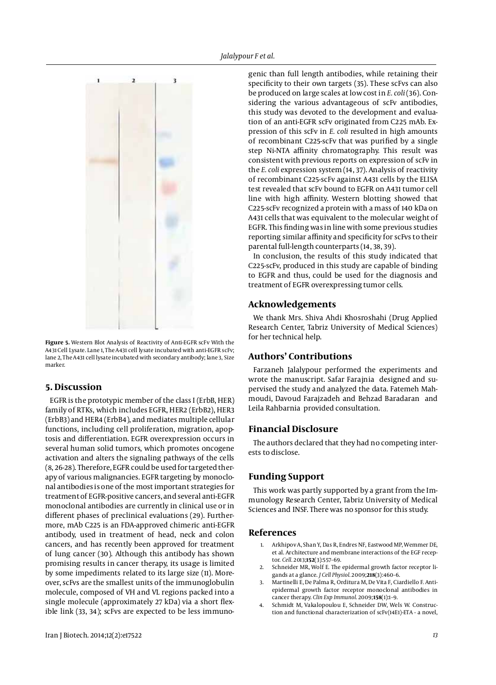

Figure 5. Western Blot Analysis of Reactivity of Anti-EGFR scFv With the A431 Cell Lysate. Lane 1, The A431 cell lysate incubated with anti-EGFR scFv; lane 2, The A431 cell lysate incubated with secondary antibody; lane 3, Size marker.

### **5. Discussion**

EGFR is the prototypic member of the class I (ErbB, HER) family of RTKs, which includes EGFR, HER2 (ErbB2), HER3 (ErbB3) and HER4 (ErbB4), and mediates multiple cellular functions, including cell proliferation, migration, apoptosis and differentiation. EGFR overexpression occurs in several human solid tumors, which promotes oncogene activation and alters the signaling pathways of the cells (8, 26-28). Therefore, EGFR could be used for targeted therapy of various malignancies. EGFR targeting by monoclonal antibodies is one of the most important strategies for treatment of EGFR-positive cancers, and several anti-EGFR monoclonal antibodies are currently in clinical use or in different phases of preclinical evaluations (29). Furthermore, mAb C225 is an FDA-approved chimeric anti-EGFR antibody, used in treatment of head, neck and colon cancers, and has recently been approved for treatment of lung cancer (30). Although this antibody has shown promising results in cancer therapy, its usage is limited by some impediments related to its large size (11). Moreover, scFvs are the smallest units of the immunoglobulin molecule, composed of VH and VL regions packed into a single molecule (approximately 27 kDa) via a short flexible link (33, 34); scFvs are expected to be less immunogenic than full length antibodies, while retaining their specificity to their own targets (35). These scFvs can also be produced on large scales at low cost in *E. coli* (36). Considering the various advantageous of scFv antibodies, this study was devoted to the development and evaluation of an anti-EGFR scFv originated from C225 mAb. Expression of this scFv in *E. coli* resulted in high amounts of recombinant C225-scFv that was purified by a single step Ni-NTA affinity chromatography. This result was consistent with previous reports on expression of scFv in the *E. coli* expression system (14, 37). Analysis of reactivity of recombinant C225-scFv against A431 cells by the ELISA test revealed that scFv bound to EGFR on A431 tumor cell line with high affinity. Western blotting showed that C225-scFv recognized a protein with a mass of 140 kDa on A431 cells that was equivalent to the molecular weight of EGFR. This finding was in line with some previous studies reporting similar affinity and specificity for scFvs to their parental full-length counterparts (14, 38, 39).

In conclusion, the results of this study indicated that C225-scFv, produced in this study are capable of binding to EGFR and thus, could be used for the diagnosis and treatment of EGFR overexpressing tumor cells.

## **Acknowledgements**

We thank Mrs. Shiva Ahdi Khosroshahi (Drug Applied Research Center, Tabriz University of Medical Sciences) for her technical help.

## **Authors' Contributions**

Farzaneh Jalalypour performed the experiments and wrote the manuscript. Safar Farajnia designed and supervised the study and analyzed the data. Fatemeh Mahmoudi, Davoud Farajzadeh and Behzad Baradaran and Leila Rahbarnia provided consultation.

#### **Financial Disclosure**

The authors declared that they had no competing interests to disclose.

## **Funding Support**

This work was partly supported by a grant from the Immunology Research Center, Tabriz University of Medical Sciences and INSF. There was no sponsor for this study.

#### **References**

- 1. Arkhipov A, Shan Y, Das R, Endres NF, Eastwood MP, Wemmer DE, et al. Architecture and membrane interactions of the EGF receptor. *Cell.* 2013;**152**(3):557–69.
- 2. Schneider MR, Wolf E. The epidermal growth factor receptor ligands at a glance. *J Cell Physiol.* 2009;**218**(3):460–6.
- 3. Martinelli E, De Palma R, Orditura M, De Vita F, Ciardiello F. Antiepidermal growth factor receptor monoclonal antibodies in cancer therapy. *Clin Exp Immunol.* 2009;**158**(1):1–9.
- 4. Schmidt M, Vakalopoulou E, Schneider DW, Wels W. Construction and functional characterization of scFv(14E1)-ETA - a novel,